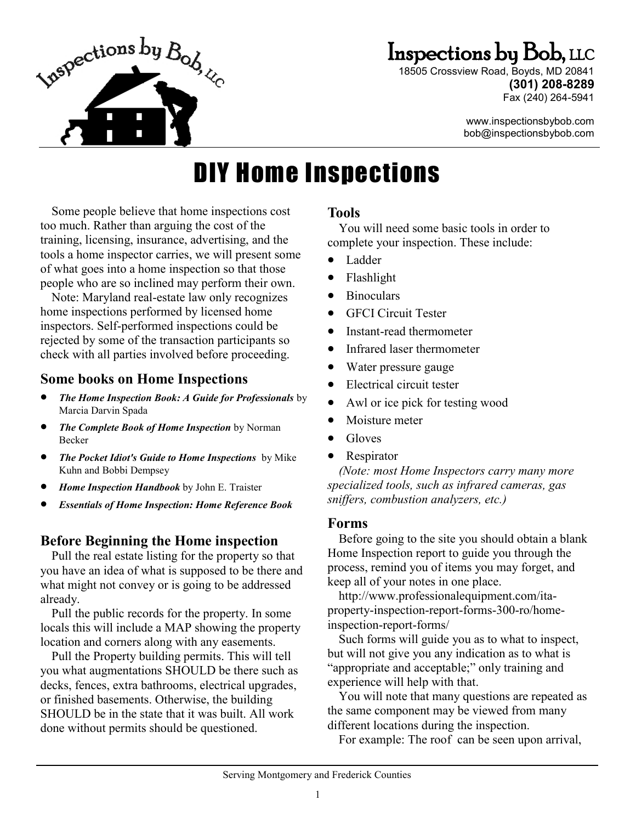

## Inspections by Bob, LLC

18505 Crossview Road, Boyds, MD 20841 **(301) 208-8289** Fax (240) 264-5941

> www.inspectionsbybob.com bob@inspectionsbybob.com

# DIY Home Inspections

Some people believe that home inspections cost too much. Rather than arguing the cost of the training, licensing, insurance, advertising, and the tools a home inspector carries, we will present some of what goes into a home inspection so that those people who are so inclined may perform their own.

Note: Maryland real-estate law only recognizes home inspections performed by licensed home inspectors. Self-performed inspections could be rejected by some of the transaction participants so check with all parties involved before proceeding.

## **Some books on Home Inspections**

- *The Home Inspection Book: A Guide for Professionals* by Marcia Darvin Spada
- *The Complete Book of Home Inspection* by Norman Becker
- *The Pocket Idiot's Guide to Home Inspections* by Mike Kuhn and Bobbi Dempsey
- *Home Inspection Handbook* by John E. Traister
- *Essentials of Home Inspection: Home Reference Book*

## **Before Beginning the Home inspection**

Pull the real estate listing for the property so that you have an idea of what is supposed to be there and what might not convey or is going to be addressed already.

Pull the public records for the property. In some locals this will include a MAP showing the property location and corners along with any easements.

Pull the Property building permits. This will tell you what augmentations SHOULD be there such as decks, fences, extra bathrooms, electrical upgrades, or finished basements. Otherwise, the building SHOULD be in the state that it was built. All work done without permits should be questioned.

## **Tools**

You will need some basic tools in order to complete your inspection. These include:

- Ladder
- Flashlight
- Binoculars
- GFCI Circuit Tester
- Instant-read thermometer
- Infrared laser thermometer
- Water pressure gauge
- Electrical circuit tester
- Awl or ice pick for testing wood
- Moisture meter
- Gloves
- Respirator

*(Note: most Home Inspectors carry many more specialized tools, such as infrared cameras, gas sniffers, combustion analyzers, etc.)*

## **Forms**

Before going to the site you should obtain a blank Home Inspection report to guide you through the process, remind you of items you may forget, and keep all of your notes in one place.

http://www.professionalequipment.com/itaproperty-inspection-report-forms-300-ro/homeinspection-report-forms/

Such forms will guide you as to what to inspect, but will not give you any indication as to what is "appropriate and acceptable;" only training and experience will help with that.

You will note that many questions are repeated as the same component may be viewed from many different locations during the inspection.

For example: The roof can be seen upon arrival,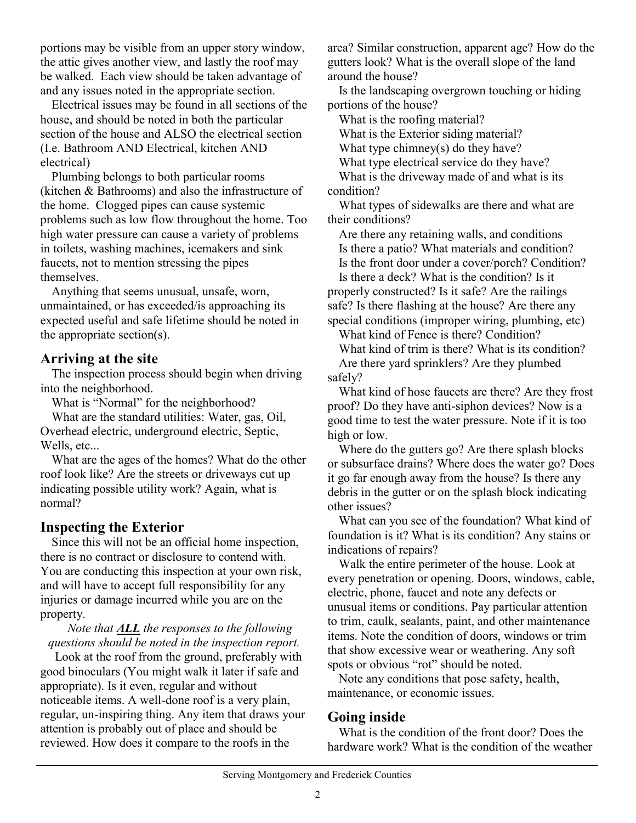portions may be visible from an upper story window, the attic gives another view, and lastly the roof may be walked. Each view should be taken advantage of and any issues noted in the appropriate section.

Electrical issues may be found in all sections of the house, and should be noted in both the particular section of the house and ALSO the electrical section (I.e. Bathroom AND Electrical, kitchen AND electrical)

Plumbing belongs to both particular rooms (kitchen & Bathrooms) and also the infrastructure of the home. Clogged pipes can cause systemic problems such as low flow throughout the home. Too high water pressure can cause a variety of problems in toilets, washing machines, icemakers and sink faucets, not to mention stressing the pipes themselves.

Anything that seems unusual, unsafe, worn, unmaintained, or has exceeded/is approaching its expected useful and safe lifetime should be noted in the appropriate section(s).

## **Arriving at the site**

The inspection process should begin when driving into the neighborhood.

What is "Normal" for the neighborhood?

What are the standard utilities: Water, gas, Oil, Overhead electric, underground electric, Septic, Wells, etc...

What are the ages of the homes? What do the other roof look like? Are the streets or driveways cut up indicating possible utility work? Again, what is normal?

## **Inspecting the Exterior**

Since this will not be an official home inspection, there is no contract or disclosure to contend with. You are conducting this inspection at your own risk, and will have to accept full responsibility for any injuries or damage incurred while you are on the property.

*Note that ALL the responses to the following questions should be noted in the inspection report.* 

Look at the roof from the ground, preferably with good binoculars (You might walk it later if safe and appropriate). Is it even, regular and without noticeable items. A well-done roof is a very plain, regular, un-inspiring thing. Any item that draws your attention is probably out of place and should be reviewed. How does it compare to the roofs in the

area? Similar construction, apparent age? How do the gutters look? What is the overall slope of the land around the house?

Is the landscaping overgrown touching or hiding portions of the house?

What is the roofing material?

What is the Exterior siding material?

What type chimney(s) do they have?

What type electrical service do they have?

What is the driveway made of and what is its condition?

What types of sidewalks are there and what are their conditions?

Are there any retaining walls, and conditions Is there a patio? What materials and condition? Is the front door under a cover/porch? Condition?

Is there a deck? What is the condition? Is it properly constructed? Is it safe? Are the railings safe? Is there flashing at the house? Are there any special conditions (improper wiring, plumbing, etc)

What kind of Fence is there? Condition?

What kind of trim is there? What is its condition? Are there yard sprinklers? Are they plumbed safely?

What kind of hose faucets are there? Are they frost proof? Do they have anti-siphon devices? Now is a good time to test the water pressure. Note if it is too high or low.

Where do the gutters go? Are there splash blocks or subsurface drains? Where does the water go? Does it go far enough away from the house? Is there any debris in the gutter or on the splash block indicating other issues?

What can you see of the foundation? What kind of foundation is it? What is its condition? Any stains or indications of repairs?

Walk the entire perimeter of the house. Look at every penetration or opening. Doors, windows, cable, electric, phone, faucet and note any defects or unusual items or conditions. Pay particular attention to trim, caulk, sealants, paint, and other maintenance items. Note the condition of doors, windows or trim that show excessive wear or weathering. Any soft spots or obvious "rot" should be noted.

Note any conditions that pose safety, health, maintenance, or economic issues.

## **Going inside**

What is the condition of the front door? Does the hardware work? What is the condition of the weather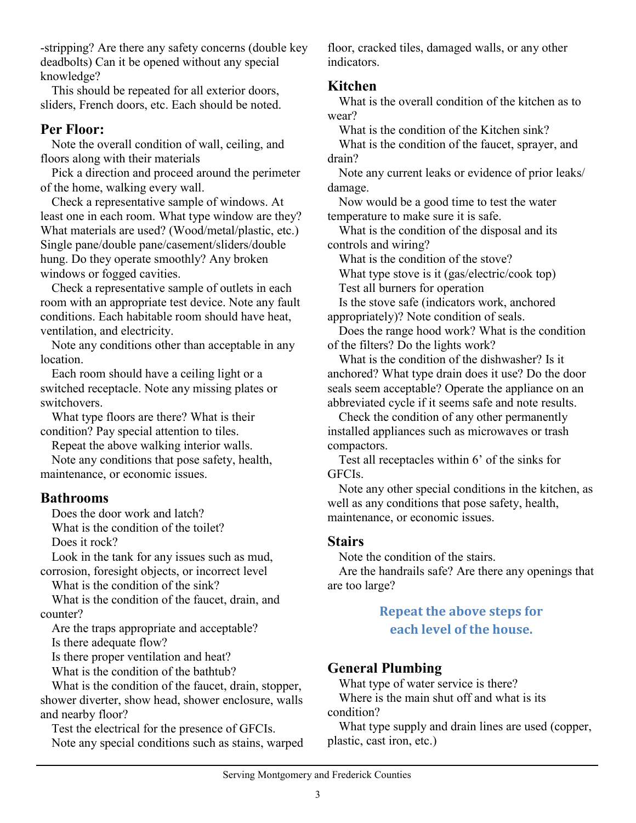-stripping? Are there any safety concerns (double key deadbolts) Can it be opened without any special knowledge?

This should be repeated for all exterior doors, sliders, French doors, etc. Each should be noted.

## **Per Floor:**

Note the overall condition of wall, ceiling, and floors along with their materials

Pick a direction and proceed around the perimeter of the home, walking every wall.

Check a representative sample of windows. At least one in each room. What type window are they? What materials are used? (Wood/metal/plastic, etc.) Single pane/double pane/casement/sliders/double hung. Do they operate smoothly? Any broken windows or fogged cavities.

Check a representative sample of outlets in each room with an appropriate test device. Note any fault conditions. Each habitable room should have heat, ventilation, and electricity.

Note any conditions other than acceptable in any location.

Each room should have a ceiling light or a switched receptacle. Note any missing plates or switchovers.

What type floors are there? What is their condition? Pay special attention to tiles.

Repeat the above walking interior walls. Note any conditions that pose safety, health, maintenance, or economic issues.

## **Bathrooms**

Does the door work and latch? What is the condition of the toilet?

Does it rock?

Look in the tank for any issues such as mud, corrosion, foresight objects, or incorrect level

What is the condition of the sink?

What is the condition of the faucet, drain, and counter?

Are the traps appropriate and acceptable? Is there adequate flow?

Is there proper ventilation and heat?

What is the condition of the bathtub?

What is the condition of the faucet, drain, stopper, shower diverter, show head, shower enclosure, walls and nearby floor?

Test the electrical for the presence of GFCIs. Note any special conditions such as stains, warped floor, cracked tiles, damaged walls, or any other indicators.

## **Kitchen**

What is the overall condition of the kitchen as to wear?

What is the condition of the Kitchen sink?

What is the condition of the faucet, sprayer, and drain?

Note any current leaks or evidence of prior leaks/ damage.

Now would be a good time to test the water temperature to make sure it is safe.

What is the condition of the disposal and its controls and wiring?

What is the condition of the stove?

What type stove is it (gas/electric/cook top)

Test all burners for operation

Is the stove safe (indicators work, anchored appropriately)? Note condition of seals.

Does the range hood work? What is the condition of the filters? Do the lights work?

What is the condition of the dishwasher? Is it anchored? What type drain does it use? Do the door seals seem acceptable? Operate the appliance on an abbreviated cycle if it seems safe and note results.

Check the condition of any other permanently installed appliances such as microwaves or trash compactors.

Test all receptacles within 6' of the sinks for GFCIs.

Note any other special conditions in the kitchen, as well as any conditions that pose safety, health, maintenance, or economic issues.

## **Stairs**

Note the condition of the stairs.

Are the handrails safe? Are there any openings that are too large?

## **Repeat the above steps for each level of the house.**

## **General Plumbing**

What type of water service is there? Where is the main shut off and what is its condition?

What type supply and drain lines are used (copper, plastic, cast iron, etc.)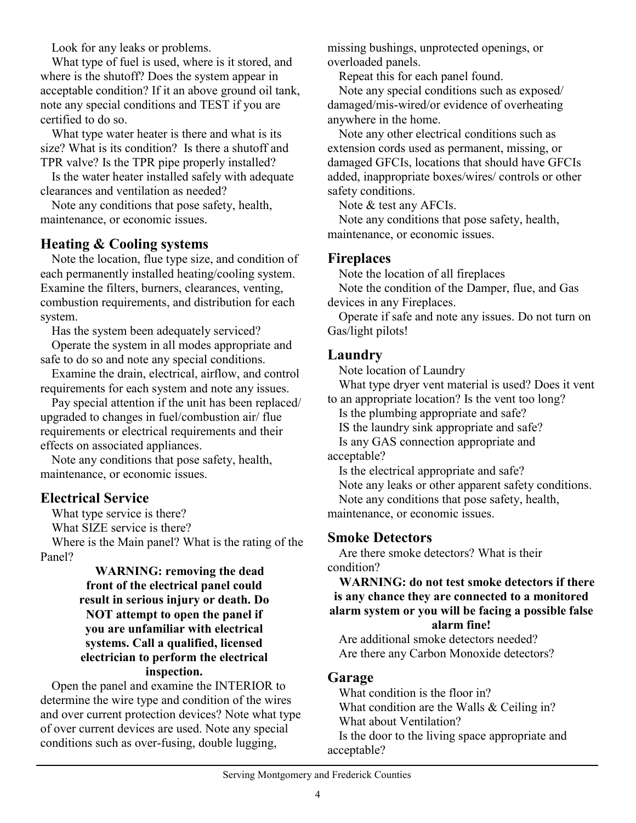Look for any leaks or problems.

What type of fuel is used, where is it stored, and where is the shutoff? Does the system appear in acceptable condition? If it an above ground oil tank, note any special conditions and TEST if you are certified to do so.

What type water heater is there and what is its size? What is its condition? Is there a shutoff and TPR valve? Is the TPR pipe properly installed?

Is the water heater installed safely with adequate clearances and ventilation as needed?

Note any conditions that pose safety, health, maintenance, or economic issues.

## **Heating & Cooling systems**

Note the location, flue type size, and condition of each permanently installed heating/cooling system. Examine the filters, burners, clearances, venting, combustion requirements, and distribution for each system.

Has the system been adequately serviced?

Operate the system in all modes appropriate and safe to do so and note any special conditions.

Examine the drain, electrical, airflow, and control requirements for each system and note any issues.

Pay special attention if the unit has been replaced/ upgraded to changes in fuel/combustion air/ flue requirements or electrical requirements and their effects on associated appliances.

Note any conditions that pose safety, health, maintenance, or economic issues.

## **Electrical Service**

What type service is there?

What SIZE service is there?

Where is the Main panel? What is the rating of the Panel?

#### **WARNING: removing the dead front of the electrical panel could result in serious injury or death. Do NOT attempt to open the panel if you are unfamiliar with electrical systems. Call a qualified, licensed electrician to perform the electrical inspection.**

Open the panel and examine the INTERIOR to determine the wire type and condition of the wires and over current protection devices? Note what type of over current devices are used. Note any special conditions such as over-fusing, double lugging,

missing bushings, unprotected openings, or overloaded panels.

Repeat this for each panel found.

Note any special conditions such as exposed/ damaged/mis-wired/or evidence of overheating anywhere in the home.

Note any other electrical conditions such as extension cords used as permanent, missing, or damaged GFCIs, locations that should have GFCIs added, inappropriate boxes/wires/ controls or other safety conditions.

Note & test any AFCIs.

Note any conditions that pose safety, health, maintenance, or economic issues.

#### **Fireplaces**

Note the location of all fireplaces

Note the condition of the Damper, flue, and Gas devices in any Fireplaces.

Operate if safe and note any issues. Do not turn on Gas/light pilots!

## **Laundry**

Note location of Laundry

What type dryer vent material is used? Does it vent to an appropriate location? Is the vent too long?

Is the plumbing appropriate and safe?

IS the laundry sink appropriate and safe?

Is any GAS connection appropriate and

acceptable?

Is the electrical appropriate and safe?

Note any leaks or other apparent safety conditions.

Note any conditions that pose safety, health,

maintenance, or economic issues.

## **Smoke Detectors**

Are there smoke detectors? What is their condition?

**WARNING: do not test smoke detectors if there is any chance they are connected to a monitored alarm system or you will be facing a possible false** 

**alarm fine!**

Are additional smoke detectors needed? Are there any Carbon Monoxide detectors?

## **Garage**

What condition is the floor in? What condition are the Walls & Ceiling in? What about Ventilation? Is the door to the living space appropriate and acceptable?